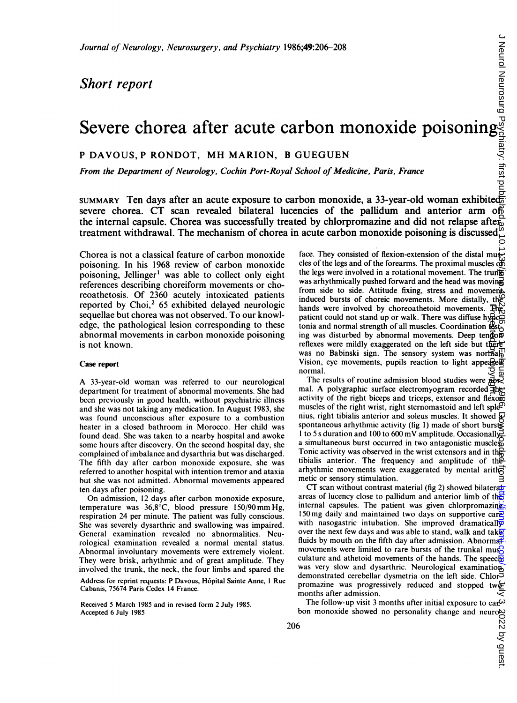## Short report

# Severe chorea after acute carbon monoxide poisoning

## <sup>P</sup> DAVOUS, <sup>P</sup> RONDOT, MH MARION, <sup>B</sup> GUEGUEN

From the Department of Neurology, Cochin Port-Royal School of Medicine, Paris, France

SUMMARY Ten days after an acute exposure to carbon monoxide, a 33-year-old woman exhibited $\frac{1}{2}$ severe chorea. CT scan revealed bilateral lucencies of the pallidum and anterior arm of the internal capsule. Chorea was successfully treated by chlorpromazine and did not relapse after treatment withdrawal. The mechanism of chorea in acute carbon monoxide poisoning is discussed.

Chorea is not a classical feature of carbon monoxide poisoning. In his 1968 review of carbon monoxide poisoning, Jellinger' was able to collect only eight references describing choreiform movements or choreoathetosis. Of 2360 acutely intoxicated patients reported by Choi,<sup>2</sup> 65 exhibited delayed neurologic sequellae but chorea was not observed. To our knowledge, the pathological lesion corresponding to these abnormal movements in carbon monoxide poisoning is not known.

#### Case report

A 33-year-old woman was referred to our neurological department for treatment of abnormal movements. She had been previously in good health, without psychiatric illness and she was not taking any medication. In August 1983, she was found unconscious after exposure to a combustion heater in a closed bathroom in Morocco. Her child was found dead. She was taken to a nearby hospital and awoke some hours after discovery. On the second hospital day, she complained of imbalance and dysarthria but was discharged. The fifth day after carbon monoxide exposure, she was referred to another hospital with intention tremor and ataxia but she was not admitted. Abnormal movements appeared ten days after poisoning.

On admission, <sup>12</sup> days after carbon monoxide exposure, temperature was  $36,8^{\circ}$ C, blood pressure 150/90 mm Hg, respiration 24 per minute. The patient was fully conscious. She was severely dysarthric and swallowing was impaired. General examination revealed no abnormalities. Neurological examination revealed a normal mental status. Abnormal involuntary movements were extremely violent. They were brisk, arhythmic and of great amplitude. They involved the trunk, the neck, the four limbs and spared the

Address for reprint requests: P Davous, H6pital Sainte Anne, <sup>I</sup> Rue Cabanis, 75674 Paris Cedex 14 France.

Received <sup>5</sup> March 1985 and in revised form 2 July 1985. Accepted 6 July 1985

face. They consisted of flexion-extension of the distal muscles of the legs and of the forearms. The proximal muscles of the legs were involved in a rotational movement. The trunk was arhythmically pushed forward and the head was moving from side to side. Attitude fixing, stress and movements induced bursts of choreic movements. More distally,  $\text{th}_\text{N}^{\text{D}}$ hands were involved by choreoathetoid movements. The patient could not stand up or walk. There was diffuse hypotonia and normal strength of all muscles. Coordination  $\mathbb{R}^3$ ing was disturbed by abnormal movements. Deep tendon reflexes were mildly exaggerated on the left side but there was no Babinski sign. The sensory system was normal Vision, eye movements, pupils reaction to light appeared normal. normal. 206 Protected by copyright.on July 3, 2022 by guest. http://jnnp.bmj.com/ J Neurol Neurosurg Psychiatry: first published as 10.1136/jnnp.49.2.206 on 1 February 1986. Downloaded from

The results of routine admission blood studies were  $\mathbb{R}$ mal. A polygraphic surface electromyogram recorded the activity of the right biceps and triceps, extensor and flexore muscles of the right wrist, right sternomastoid and left splenius, right tibialis anterior and soleus muscles. It showed  $\mathbb Q$ spontaneous arhythmic activity (fig 1) made of short bursts I to 5 s duration and 100 to 600 mV amplitude. Occasionally a simultaneous burst occurred in two antagonistic muscles. Tonic activity was observed in the wrist extensors and in the tibialis anterior. The frequency and amplitude of the arhythmic movements were exaggerated by mental arithermic metic or sensory stimulation.

CT scan without contrast material (fig 2) showed bilateral areas of lucency close to pallidum and anterior limb of the internal capsules. The patient was given chlorpromazines 150 mg daily and maintained two days on supportive care with nasogastric intubation. She improved dramatically over the next few days and was able to stand, walk and take fluids by mouth on the fifth day after admission. Abnormalmovements were limited to rare bursts of the trunkal mus $\beta$ culature and athetoid movements of the hands. The speech was very slow and dysarthric. Neurological examinationdemonstrated cerebellar dysmetria on the left side. Chlorpromazine was progressively reduced and stopped two months after admission.

The follow-up visit 3 months after initial exposure to car $\omega$ The follow-up visit 3 months after find a exposure to car-<br>bon monoxide showed no personality change and neuro-<br> $\frac{60}{20}$ <br> $\frac{60}{30}$ <br> $\frac{60}{30}$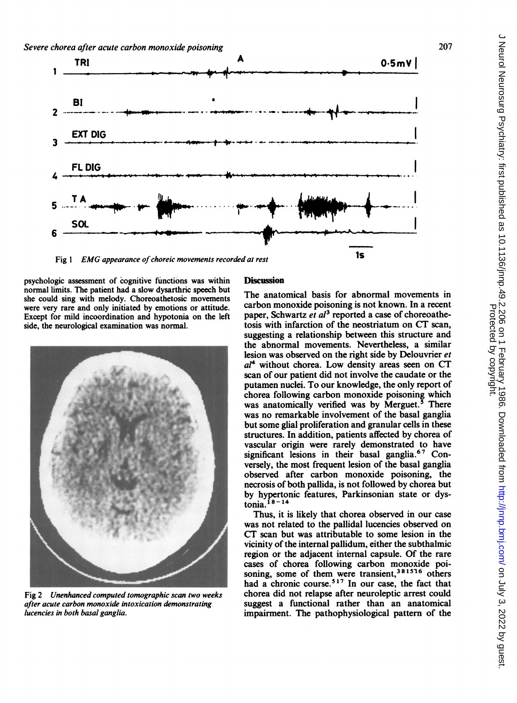

**EMG** appearance of choreic movements recorded at rest Fig 1

psychologic assessment of cognitive functions was within normal limits. The patient had a slow dysarthric speech but she could sing with melody. Choreoathetosic movements were very rare and only initiated by emotions or attitude. Except for mild incoordination and hypotonia on the left side, the neurological examination was normal.



Fig 2 Unenhanced computed tomographic scan two weeks after acute carbon monoxide intoxication demonstrating lucencies in both basal ganglia.

### **Discussion**

The anatomical basis for abnormal movements in carbon monoxide poisoning is not known. In a recent paper, Schwartz et al<sup>3</sup> reported a case of choreoathetosis with infarction of the neostriatum on CT scan, suggesting a relationship between this structure and the abnormal movements. Nevertheless, a similar lesion was observed on the right side by Delouvrier et  $al<sup>4</sup>$  without chorea. Low density areas seen on CT scan of our patient did not involve the caudate or the putamen nuclei. To our knowledge, the only report of chorea following carbon monoxide poisoning which was anatomically verified was by Merguet.<sup>5</sup> There was no remarkable involvement of the basal ganglia but some glial proliferation and granular cells in these structures. In addition, patients affected by chorea of vascular origin were rarely demonstrated to have significant lesions in their basal ganglia.<sup>67</sup> Conversely, the most frequent lesion of the basal ganglia observed after carbon monoxide poisoning, the necrosis of both pallida, is not followed by chorea but by hypertonic features, Parkinsonian state or dystonia.<sup>18-14</sup>

Thus, it is likely that chorea observed in our case was not related to the pallidal lucencies observed on CT scan but was attributable to some lesion in the vicinity of the internal pallidum, either the subthalmic region or the adjacent internal capsule. Of the rare cases of chorea following carbon monoxide poisoning, some of them were transient,<sup>381516</sup> others had a chronic course.<sup>517</sup> In our case, the fact that chorea did not relapse after neuroleptic arrest could suggest a functional rather than an anatomical impairment. The pathophysiological pattern of the